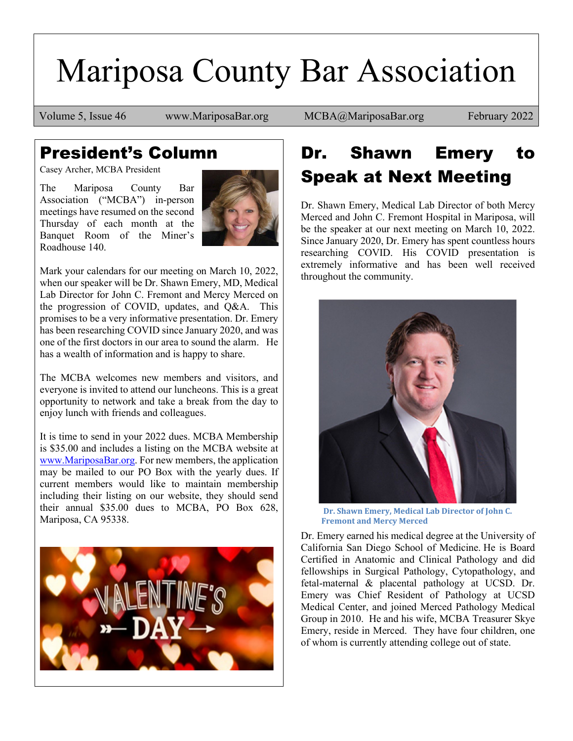# Mariposa County Bar Association

Volume 5, Issue 46 www.MariposaBar.org MCBA@MariposaBar.org February 2022

### President's Column

Casey Archer, MCBA President

The Mariposa County Bar Association ("MCBA") in-person meetings have resumed on the second Thursday of each month at the Banquet Room of the Miner's Roadhouse 140.



Mark your calendars for our meeting on March 10, 2022, when our speaker will be Dr. Shawn Emery, MD, Medical Lab Director for John C. Fremont and Mercy Merced on the progression of COVID, updates, and Q&A. This promises to be a very informative presentation. Dr. Emery has been researching COVID since January 2020, and was one of the first doctors in our area to sound the alarm. He has a wealth of information and is happy to share.

The MCBA welcomes new members and visitors, and everyone is invited to attend our luncheons. This is a great opportunity to network and take a break from the day to enjoy lunch with friends and colleagues.

It is time to send in your 2022 dues. MCBA Membership is \$35.00 and includes a listing on the MCBA website at [www.MariposaBar.org.](http://www.mariposabar.org/) For new members, the application may be mailed to our PO Box with the yearly dues. If current members would like to maintain membership including their listing on our website, they should send their annual \$35.00 dues to MCBA, PO Box 628, Mariposa, CA 95338.



### Dr. Shawn Emery to Speak at Next Meeting

Dr. Shawn Emery, Medical Lab Director of both Mercy Merced and John C. Fremont Hospital in Mariposa, will be the speaker at our next meeting on March 10, 2022. Since January 2020, Dr. Emery has spent countless hours researching COVID. His COVID presentation is extremely informative and has been well received throughout the community.



**Dr. Shawn Emery, Medical Lab Director of John C. Fremont and Mercy Merced**

Dr. Emery earned his medical degree at the University of California San Diego School of Medicine. He is Board Certified in Anatomic and Clinical Pathology and did fellowships in Surgical Pathology, Cytopathology, and fetal-maternal & placental pathology at UCSD. Dr. Emery was Chief Resident of Pathology at UCSD Medical Center, and joined Merced Pathology Medical Group in 2010. He and his wife, MCBA Treasurer Skye Emery, reside in Merced. They have four children, one of whom is currently attending college out of state.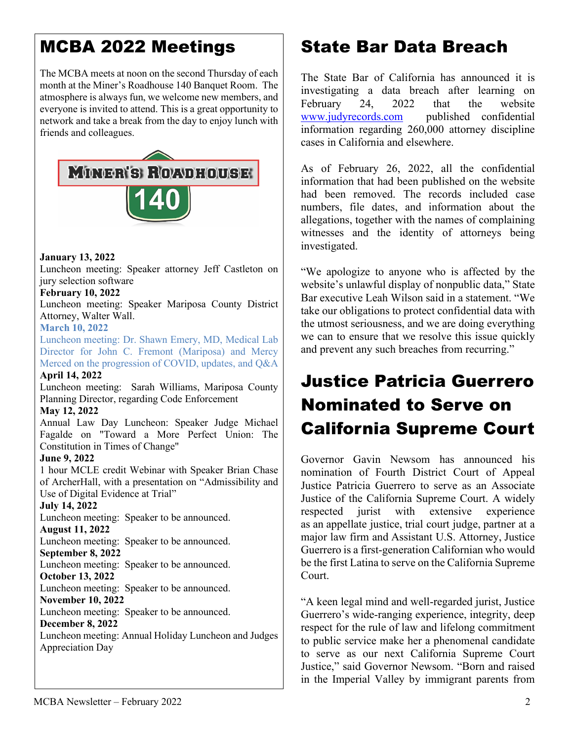### MCBA 2022 Meetings

The MCBA meets at noon on the second Thursday of each month at the Miner's Roadhouse 140 Banquet Room. The atmosphere is always fun, we welcome new members, and everyone is invited to attend. This is a great opportunity to network and take a break from the day to enjoy lunch with friends and colleagues.



#### **January 13, 2022**

Luncheon meeting: Speaker attorney Jeff Castleton on jury selection software

#### **February 10, 2022**

Luncheon meeting: Speaker Mariposa County District Attorney, Walter Wall.

#### **March 10, 2022**

Luncheon meeting: Dr. Shawn Emery, MD, Medical Lab Director for John C. Fremont (Mariposa) and Mercy Merced on the progression of COVID, updates, and Q&A

#### **April 14, 2022**

Luncheon meeting: Sarah Williams, Mariposa County Planning Director, regarding Code Enforcement

#### **May 12, 2022**

Annual Law Day Luncheon: Speaker Judge Michael Fagalde on "Toward a More Perfect Union: The Constitution in Times of Change"

#### **June 9, 2022**

1 hour MCLE credit Webinar with Speaker Brian Chase of ArcherHall, with a presentation on "Admissibility and Use of Digital Evidence at Trial"

#### **July 14, 2022**

Luncheon meeting: Speaker to be announced.

#### **August 11, 2022**

Luncheon meeting: Speaker to be announced. **September 8, 2022**

Luncheon meeting: Speaker to be announced. **October 13, 2022**

Luncheon meeting: Speaker to be announced.

#### **November 10, 2022**

Luncheon meeting: Speaker to be announced.

#### **December 8, 2022**

Luncheon meeting: Annual Holiday Luncheon and Judges Appreciation Day

### State Bar Data Breach

The State Bar of California has announced it is investigating a data breach after learning on<br>February 24, 2022 that the website February 24, 2022 that the website [www.judyrecords.com](http://www.judyrecords.com/) published confidential information regarding 260,000 attorney discipline cases in California and elsewhere.

As of February 26, 2022, all the confidential information that had been published on the website had been removed. The records included case numbers, file dates, and information about the allegations, together with the names of complaining witnesses and the identity of attorneys being investigated.

"We apologize to anyone who is affected by the website's unlawful display of nonpublic data," State Bar executive Leah Wilson said in a statement. "We take our obligations to protect confidential data with the utmost seriousness, and we are doing everything we can to ensure that we resolve this issue quickly and prevent any such breaches from recurring."

### Justice Patricia Guerrero Nominated to Serve on California Supreme Court

Governor Gavin Newsom has announced his nomination of Fourth District Court of Appeal Justice Patricia Guerrero to serve as an Associate Justice of the California Supreme Court. A widely respected jurist with extensive experience as an appellate justice, trial court judge, partner at a major law firm and Assistant U.S. Attorney, Justice Guerrero is a first-generation Californian who would be the first Latina to serve on the California Supreme Court.

"A keen legal mind and well-regarded jurist, Justice Guerrero's wide-ranging experience, integrity, deep respect for the rule of law and lifelong commitment to public service make her a phenomenal candidate to serve as our next California Supreme Court Justice," said Governor Newsom. "Born and raised in the Imperial Valley by immigrant parents from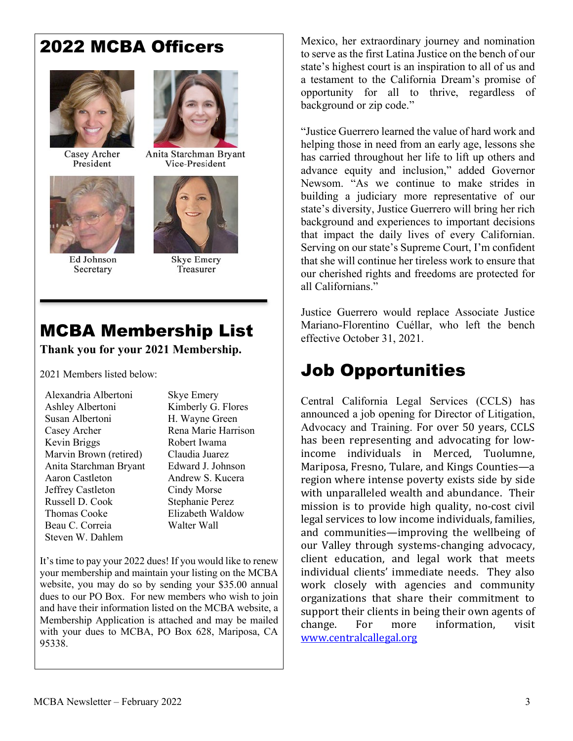### 2022 MCBA Officers



Casey Archer President



Ed Johnson Secretary



Anita Starchman Bryant Vice-President



**Skye Emery** Treasurer

# MCBA Membership List

#### **Thank you for your 2021 Membership.**

2021 Members listed below:

| Alexandria Albertoni   |
|------------------------|
| Ashley Albertoni       |
| Susan Albertoni        |
| Casey Archer           |
| Kevin Briggs           |
| Marvin Brown (retired) |
| Anita Starchman Bryant |
| Aaron Castleton        |
| Jeffrey Castleton      |
| Russell D. Cook        |
| Thomas Cooke           |
| Beau C. Correia        |
| Steven W. Dahlem       |

Skye Emery Kimberly G. Flores H. Wayne Green Rena Marie Harrison Robert Iwama Claudia Juarez Edward J. Johnson Andrew S. Kucera Cindy Morse Stephanie Perez Elizabeth Waldow Walter Wall

It's time to pay your 2022 dues! If you would like to renew your membership and maintain your listing on the MCBA website, you may do so by sending your \$35.00 annual dues to our PO Box. For new members who wish to join and have their information listed on the MCBA website, a Membership Application is attached and may be mailed with your dues to MCBA, PO Box 628, Mariposa, CA 95338.

Mexico, her extraordinary journey and nomination to serve as the first Latina Justice on the bench of our state's highest court is an inspiration to all of us and a testament to the California Dream's promise of opportunity for all to thrive, regardless of background or zip code."

"Justice Guerrero learned the value of hard work and helping those in need from an early age, lessons she has carried throughout her life to lift up others and advance equity and inclusion," added Governor Newsom. "As we continue to make strides in building a judiciary more representative of our state's diversity, Justice Guerrero will bring her rich background and experiences to important decisions that impact the daily lives of every Californian. Serving on our state's Supreme Court, I'm confident that she will continue her tireless work to ensure that our cherished rights and freedoms are protected for all Californians."

Justice Guerrero would replace Associate Justice Mariano-Florentino Cuéllar, who left the bench effective October 31, 2021.

## Job Opportunities

Central California Legal Services (CCLS) has announced a job opening for Director of Litigation, Advocacy and Training. For over 50 years, CCLS has been representing and advocating for lowincome individuals in Merced, Tuolumne, Mariposa, Fresno, Tulare, and Kings Counties—a region where intense poverty exists side by side with unparalleled wealth and abundance. Their mission is to provide high quality, no-cost civil legal services to low income individuals, families, and communities—improving the wellbeing of our Valley through systems-changing advocacy, client education, and legal work that meets individual clients' immediate needs. They also work closely with agencies and community organizations that share their commitment to support their clients in being their own agents of<br>change. For more information. visit information. [www.centralcallegal.org](http://www.centralcallegal.org/)